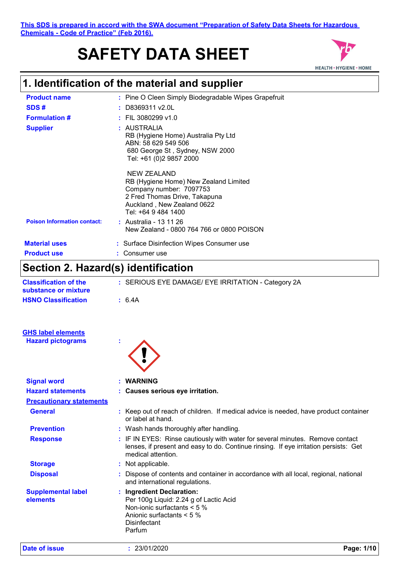#### **This SDS is prepared in accord with the SWA document "Preparation of Safety Data Sheets for Hazardous Chemicals - Code of Practice" (Feb 2016).**

# **SAFETY DATA SHEET**



# **1. Identification of the material and supplier**

| <b>Product name</b>                | : Pine O Cleen Simply Biodegradable Wipes Grapefruit                                                                                                                  |
|------------------------------------|-----------------------------------------------------------------------------------------------------------------------------------------------------------------------|
| SDS#                               | $:$ D8369311 v2.0L                                                                                                                                                    |
| <b>Formulation #</b>               | $\pm$ FIL 3080299 v1.0                                                                                                                                                |
| <b>Supplier</b>                    | : AUSTRALIA<br>RB (Hygiene Home) Australia Pty Ltd<br>ABN: 58 629 549 506<br>680 George St, Sydney, NSW 2000<br>Tel: +61 (0)2 9857 2000                               |
|                                    | NEW ZEALAND<br>RB (Hygiene Home) New Zealand Limited<br>Company number: 7097753<br>2 Fred Thomas Drive, Takapuna<br>Auckland, New Zealand 0622<br>Tel: +64 9 484 1400 |
| <b>Poison Information contact:</b> | : Australia - 13 11 26<br>New Zealand - 0800 764 766 or 0800 POISON                                                                                                   |
| <b>Material uses</b>               | : Surface Disinfection Wipes Consumer use                                                                                                                             |
| <b>Product use</b>                 | Consumer use                                                                                                                                                          |

### **Section 2. Hazard(s) identification**

| <b>Classification of the</b><br>substance or mixture | : SERIOUS EYE DAMAGE/ EYE IRRITATION - Category 2A                                                                                                                                          |
|------------------------------------------------------|---------------------------------------------------------------------------------------------------------------------------------------------------------------------------------------------|
| <b>HSNO Classification</b>                           | : 6.4A                                                                                                                                                                                      |
| <b>GHS label elements</b>                            |                                                                                                                                                                                             |
| <b>Hazard pictograms</b>                             |                                                                                                                                                                                             |
| <b>Signal word</b>                                   | <b>WARNING</b>                                                                                                                                                                              |
| <b>Hazard statements</b>                             | : Causes serious eye irritation.                                                                                                                                                            |
| <b>Precautionary statements</b>                      |                                                                                                                                                                                             |
| <b>General</b>                                       | : Keep out of reach of children. If medical advice is needed, have product container<br>or label at hand.                                                                                   |
| <b>Prevention</b>                                    | : Wash hands thoroughly after handling.                                                                                                                                                     |
| <b>Response</b>                                      | : IF IN EYES: Rinse cautiously with water for several minutes. Remove contact<br>lenses, if present and easy to do. Continue rinsing. If eye irritation persists: Get<br>medical attention. |
| <b>Storage</b>                                       | : Not applicable.                                                                                                                                                                           |
| <b>Disposal</b>                                      | Dispose of contents and container in accordance with all local, regional, national<br>and international regulations.                                                                        |
| <b>Supplemental label</b><br>elements                | : Ingredient Declaration:<br>Per 100g Liquid: 2.24 g of Lactic Acid<br>Non-ionic surfactants < 5 %<br>Anionic surfactants $< 5 \%$<br><b>Disinfectant</b><br>Parfum                         |

**Date of issue :** 23/01/2020 **Page: 1/10**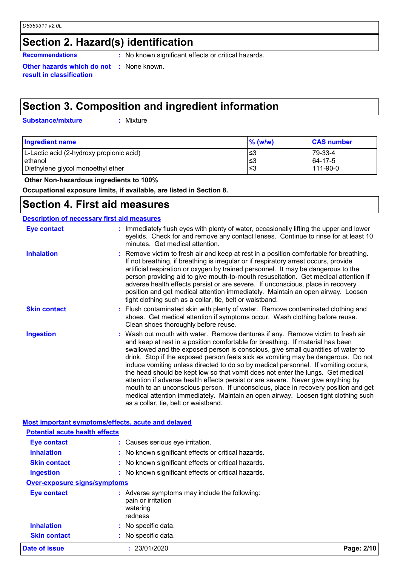### **Section 2. Hazard(s) identification**

**Recommendations :** No known significant effects or critical hazards.

**Other hazards which do not result in classification**

**:** None known.

### **Section 3. Composition and ingredient information**

**Substance/mixture :**

: Mixture

| <b>Ingredient name</b>                   | $%$ (w/w) | <b>CAS number</b> |
|------------------------------------------|-----------|-------------------|
| L-Lactic acid (2-hydroxy propionic acid) | ≤3        | 79-33-4           |
| ethanol                                  | ≤3        | 64-17-5           |
| Diethylene glycol monoethyl ether        | ≤3        | 111-90-0          |

 **Other Non-hazardous ingredients to 100%**

**Occupational exposure limits, if available, are listed in Section 8.**

### **Section 4. First aid measures**

#### **Description of necessary first aid measures**

| <b>Eye contact</b>  | : Immediately flush eyes with plenty of water, occasionally lifting the upper and lower<br>eyelids. Check for and remove any contact lenses. Continue to rinse for at least 10<br>minutes. Get medical attention.                                                                                                                                                                                                                                                                                                                                                                                                                                                                                                                                                                                                            |
|---------------------|------------------------------------------------------------------------------------------------------------------------------------------------------------------------------------------------------------------------------------------------------------------------------------------------------------------------------------------------------------------------------------------------------------------------------------------------------------------------------------------------------------------------------------------------------------------------------------------------------------------------------------------------------------------------------------------------------------------------------------------------------------------------------------------------------------------------------|
| <b>Inhalation</b>   | : Remove victim to fresh air and keep at rest in a position comfortable for breathing.<br>If not breathing, if breathing is irregular or if respiratory arrest occurs, provide<br>artificial respiration or oxygen by trained personnel. It may be dangerous to the<br>person providing aid to give mouth-to-mouth resuscitation. Get medical attention if<br>adverse health effects persist or are severe. If unconscious, place in recovery<br>position and get medical attention immediately. Maintain an open airway. Loosen<br>tight clothing such as a collar, tie, belt or waistband.                                                                                                                                                                                                                                 |
| <b>Skin contact</b> | : Flush contaminated skin with plenty of water. Remove contaminated clothing and<br>shoes. Get medical attention if symptoms occur. Wash clothing before reuse.<br>Clean shoes thoroughly before reuse.                                                                                                                                                                                                                                                                                                                                                                                                                                                                                                                                                                                                                      |
| <b>Ingestion</b>    | : Wash out mouth with water. Remove dentures if any. Remove victim to fresh air<br>and keep at rest in a position comfortable for breathing. If material has been<br>swallowed and the exposed person is conscious, give small quantities of water to<br>drink. Stop if the exposed person feels sick as vomiting may be dangerous. Do not<br>induce vomiting unless directed to do so by medical personnel. If vomiting occurs,<br>the head should be kept low so that vomit does not enter the lungs. Get medical<br>attention if adverse health effects persist or are severe. Never give anything by<br>mouth to an unconscious person. If unconscious, place in recovery position and get<br>medical attention immediately. Maintain an open airway. Loosen tight clothing such<br>as a collar, tie, belt or waistband. |

#### **Most important symptoms/effects, acute and delayed Inhalation :** No known significant effects or critical hazards. **Ingestion because the contract of the state of the state of the state of critical hazards. :** No known significant effects or critical hazards. **Skin contact :** No known significant effects or critical hazards. **Eye contact :** Causes serious eye irritation. **Over-exposure signs/symptoms Skin contact Inhalation :** No specific data. No specific data. **: Eye contact :** Adverse symptoms may include the following: pain or irritation watering redness **Potential acute health effects Date of issue 23/01/2020**

| Page: 2/10 |  |
|------------|--|
|------------|--|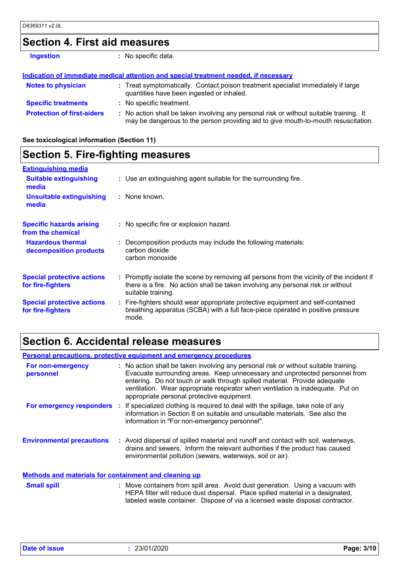### **Section 4. First aid measures**

| <b>Ingestion</b>                  | : No specific data.                                                                                                                                                           |  |
|-----------------------------------|-------------------------------------------------------------------------------------------------------------------------------------------------------------------------------|--|
|                                   | Indication of immediate medical attention and special treatment needed, if necessary                                                                                          |  |
| <b>Notes to physician</b>         | : Treat symptomatically. Contact poison treatment specialist immediately if large<br>quantities have been ingested or inhaled.                                                |  |
| <b>Specific treatments</b>        | : No specific treatment.                                                                                                                                                      |  |
| <b>Protection of first-aiders</b> | : No action shall be taken involving any personal risk or without suitable training. It<br>may be dangerous to the person providing aid to give mouth-to-mouth resuscitation. |  |

**See toxicological information (Section 11)**

| <b>Section 5. Fire-fighting measures</b>               |                                                                                                                                                                                                     |  |
|--------------------------------------------------------|-----------------------------------------------------------------------------------------------------------------------------------------------------------------------------------------------------|--|
| <b>Extinguishing media</b>                             |                                                                                                                                                                                                     |  |
| <b>Suitable extinguishing</b><br>media                 | : Use an extinguishing agent suitable for the surrounding fire.                                                                                                                                     |  |
| Unsuitable extinguishing<br>media                      | : None known.                                                                                                                                                                                       |  |
| <b>Specific hazards arising</b><br>from the chemical   | : No specific fire or explosion hazard.                                                                                                                                                             |  |
| <b>Hazardous thermal</b><br>decomposition products     | : Decomposition products may include the following materials:<br>carbon dioxide<br>carbon monoxide                                                                                                  |  |
| <b>Special protective actions</b><br>for fire-fighters | : Promptly isolate the scene by removing all persons from the vicinity of the incident if<br>there is a fire. No action shall be taken involving any personal risk or without<br>suitable training. |  |
| <b>Special protective actions</b><br>for fire-fighters | : Fire-fighters should wear appropriate protective equipment and self-contained<br>breathing apparatus (SCBA) with a full face-piece operated in positive pressure<br>mode.                         |  |

# **Section 6. Accidental release measures**

|                                                              | <b>Personal precautions, protective equipment and emergency procedures</b>                                                                                                                                                                                                                                                                                                        |
|--------------------------------------------------------------|-----------------------------------------------------------------------------------------------------------------------------------------------------------------------------------------------------------------------------------------------------------------------------------------------------------------------------------------------------------------------------------|
| For non-emergency<br>personnel                               | : No action shall be taken involving any personal risk or without suitable training.<br>Evacuate surrounding areas. Keep unnecessary and unprotected personnel from<br>entering. Do not touch or walk through spilled material. Provide adequate<br>ventilation. Wear appropriate respirator when ventilation is inadequate. Put on<br>appropriate personal protective equipment. |
|                                                              | For emergency responders : If specialized clothing is required to deal with the spillage, take note of any<br>information in Section 8 on suitable and unsuitable materials. See also the<br>information in "For non-emergency personnel".                                                                                                                                        |
| <b>Environmental precautions</b>                             | : Avoid dispersal of spilled material and runoff and contact with soil, waterways,<br>drains and sewers. Inform the relevant authorities if the product has caused<br>environmental pollution (sewers, waterways, soil or air).                                                                                                                                                   |
| <b>Methods and materials for containment and cleaning up</b> |                                                                                                                                                                                                                                                                                                                                                                                   |
| <b>Small spill</b>                                           | : Move containers from spill area. Avoid dust generation. Using a vacuum with<br>HEPA filter will reduce dust dispersal. Place spilled material in a designated,<br>labeled waste container. Dispose of via a licensed waste disposal contractor.                                                                                                                                 |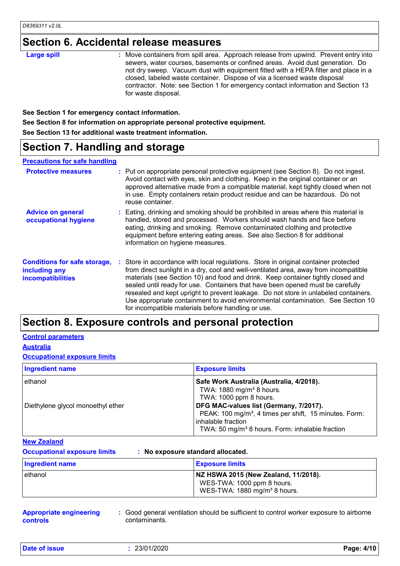### **Section 6. Accidental release measures**

| <b>Large spill</b><br>for waste disposal. | : Move containers from spill area. Approach release from upwind. Prevent entry into<br>sewers, water courses, basements or confined areas. Avoid dust generation. Do<br>not dry sweep. Vacuum dust with equipment fitted with a HEPA filter and place in a<br>closed, labeled waste container. Dispose of via a licensed waste disposal<br>contractor. Note: see Section 1 for emergency contact information and Section 13 |
|-------------------------------------------|-----------------------------------------------------------------------------------------------------------------------------------------------------------------------------------------------------------------------------------------------------------------------------------------------------------------------------------------------------------------------------------------------------------------------------|
|-------------------------------------------|-----------------------------------------------------------------------------------------------------------------------------------------------------------------------------------------------------------------------------------------------------------------------------------------------------------------------------------------------------------------------------------------------------------------------------|

**See Section 1 for emergency contact information.**

**See Section 8 for information on appropriate personal protective equipment.**

**See Section 13 for additional waste treatment information.**

### **Section 7. Handling and storage**

#### **Precautions for safe handling**

| <b>Protective measures</b>                                                       | : Put on appropriate personal protective equipment (see Section 8). Do not ingest.<br>Avoid contact with eyes, skin and clothing. Keep in the original container or an<br>approved alternative made from a compatible material, kept tightly closed when not<br>in use. Empty containers retain product residue and can be hazardous. Do not<br>reuse container.                                                                                                                                                                                                                   |
|----------------------------------------------------------------------------------|------------------------------------------------------------------------------------------------------------------------------------------------------------------------------------------------------------------------------------------------------------------------------------------------------------------------------------------------------------------------------------------------------------------------------------------------------------------------------------------------------------------------------------------------------------------------------------|
| <b>Advice on general</b><br>occupational hygiene                                 | : Eating, drinking and smoking should be prohibited in areas where this material is<br>handled, stored and processed. Workers should wash hands and face before<br>eating, drinking and smoking. Remove contaminated clothing and protective<br>equipment before entering eating areas. See also Section 8 for additional<br>information on hygiene measures.                                                                                                                                                                                                                      |
| <b>Conditions for safe storage,</b><br>including any<br><b>incompatibilities</b> | : Store in accordance with local regulations. Store in original container protected<br>from direct sunlight in a dry, cool and well-ventilated area, away from incompatible<br>materials (see Section 10) and food and drink. Keep container tightly closed and<br>sealed until ready for use. Containers that have been opened must be carefully<br>resealed and kept upright to prevent leakage. Do not store in unlabeled containers.<br>Use appropriate containment to avoid environmental contamination. See Section 10<br>for incompatible materials before handling or use. |

### **Section 8. Exposure controls and personal protection**

#### **Control parameters**

**Australia**

#### **Occupational exposure limits**

| <b>Ingredient name</b>                       | <b>Exposure limits</b>                                                                                                                                                                                                                                                                                          |
|----------------------------------------------|-----------------------------------------------------------------------------------------------------------------------------------------------------------------------------------------------------------------------------------------------------------------------------------------------------------------|
| ethanol<br>Diethylene glycol monoethyl ether | Safe Work Australia (Australia, 4/2018).<br>TWA: 1880 mg/m <sup>3</sup> 8 hours.<br>TWA: 1000 ppm 8 hours.<br>DFG MAC-values list (Germany, 7/2017).<br>PEAK: 100 mg/m <sup>3</sup> , 4 times per shift, 15 minutes. Form:<br>inhalable fraction<br>TWA: 50 mg/m <sup>3</sup> 8 hours. Form: inhalable fraction |

#### **New Zealand**

**Occupational exposure limits : No exposure standard allocated.**

| <b>Ingredient name</b> | <b>Exposure limits</b>                                                                                         |
|------------------------|----------------------------------------------------------------------------------------------------------------|
| l ethanol              | NZ HSWA 2015 (New Zealand, 11/2018).<br>WES-TWA: 1000 ppm 8 hours.<br>WES-TWA: 1880 mg/m <sup>3</sup> 8 hours. |

**Appropriate engineering controls**

**:** Good general ventilation should be sufficient to control worker exposure to airborne contaminants.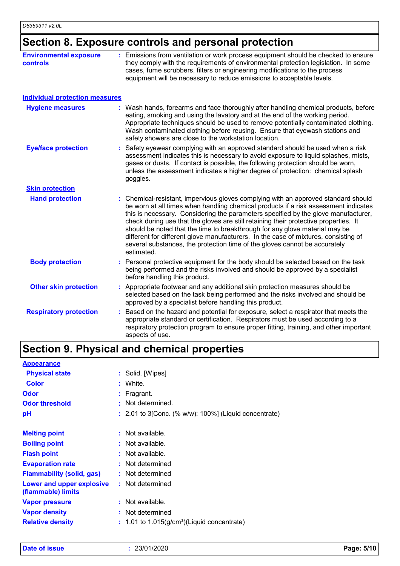### **Section 8. Exposure controls and personal protection**

| <b>Environmental exposure</b><br>controls | Emissions from ventilation or work process equipment should be checked to ensure<br>they comply with the requirements of environmental protection legislation. In some<br>cases, fume scrubbers, filters or engineering modifications to the process<br>equipment will be necessary to reduce emissions to acceptable levels.                                                                                                                                                                                                                                                                                             |
|-------------------------------------------|---------------------------------------------------------------------------------------------------------------------------------------------------------------------------------------------------------------------------------------------------------------------------------------------------------------------------------------------------------------------------------------------------------------------------------------------------------------------------------------------------------------------------------------------------------------------------------------------------------------------------|
| <b>Individual protection measures</b>     |                                                                                                                                                                                                                                                                                                                                                                                                                                                                                                                                                                                                                           |
| <b>Hygiene measures</b>                   | : Wash hands, forearms and face thoroughly after handling chemical products, before<br>eating, smoking and using the lavatory and at the end of the working period.<br>Appropriate techniques should be used to remove potentially contaminated clothing.<br>Wash contaminated clothing before reusing. Ensure that eyewash stations and<br>safety showers are close to the workstation location.                                                                                                                                                                                                                         |
| <b>Eye/face protection</b>                | Safety eyewear complying with an approved standard should be used when a risk<br>assessment indicates this is necessary to avoid exposure to liquid splashes, mists,<br>gases or dusts. If contact is possible, the following protection should be worn,<br>unless the assessment indicates a higher degree of protection: chemical splash<br>goggles.                                                                                                                                                                                                                                                                    |
| <b>Skin protection</b>                    |                                                                                                                                                                                                                                                                                                                                                                                                                                                                                                                                                                                                                           |
| <b>Hand protection</b>                    | : Chemical-resistant, impervious gloves complying with an approved standard should<br>be worn at all times when handling chemical products if a risk assessment indicates<br>this is necessary. Considering the parameters specified by the glove manufacturer,<br>check during use that the gloves are still retaining their protective properties. It<br>should be noted that the time to breakthrough for any glove material may be<br>different for different glove manufacturers. In the case of mixtures, consisting of<br>several substances, the protection time of the gloves cannot be accurately<br>estimated. |
| <b>Body protection</b>                    | : Personal protective equipment for the body should be selected based on the task<br>being performed and the risks involved and should be approved by a specialist<br>before handling this product.                                                                                                                                                                                                                                                                                                                                                                                                                       |
| <b>Other skin protection</b>              | : Appropriate footwear and any additional skin protection measures should be<br>selected based on the task being performed and the risks involved and should be<br>approved by a specialist before handling this product.                                                                                                                                                                                                                                                                                                                                                                                                 |
| <b>Respiratory protection</b>             | Based on the hazard and potential for exposure, select a respirator that meets the<br>appropriate standard or certification. Respirators must be used according to a<br>respiratory protection program to ensure proper fitting, training, and other important<br>aspects of use.                                                                                                                                                                                                                                                                                                                                         |

### **Section 9. Physical and chemical properties**

| <b>Appearance</b>                               |    |                                                           |
|-------------------------------------------------|----|-----------------------------------------------------------|
| <b>Physical state</b>                           |    | : Solid. [Wipes]                                          |
| <b>Color</b>                                    | t. | White.                                                    |
| Odor                                            |    | $:$ Fragrant.                                             |
| <b>Odor threshold</b>                           |    | Not determined.                                           |
| pH                                              |    | $: 2.01$ to 3[Conc. (% w/w): 100%] (Liquid concentrate)   |
|                                                 |    |                                                           |
| <b>Melting point</b>                            |    | $:$ Not available.                                        |
| <b>Boiling point</b>                            |    | $:$ Not available.                                        |
| <b>Flash point</b>                              |    | $:$ Not available.                                        |
| <b>Evaporation rate</b>                         |    | : Not determined                                          |
| <b>Flammability (solid, gas)</b>                |    | : Not determined                                          |
| Lower and upper explosive<br>(flammable) limits |    | : Not determined                                          |
| <b>Vapor pressure</b>                           |    | $:$ Not available.                                        |
| <b>Vapor density</b>                            |    | : Not determined                                          |
| <b>Relative density</b>                         |    | $: 1.01$ to 1.015(g/cm <sup>3</sup> )(Liquid concentrate) |
|                                                 |    |                                                           |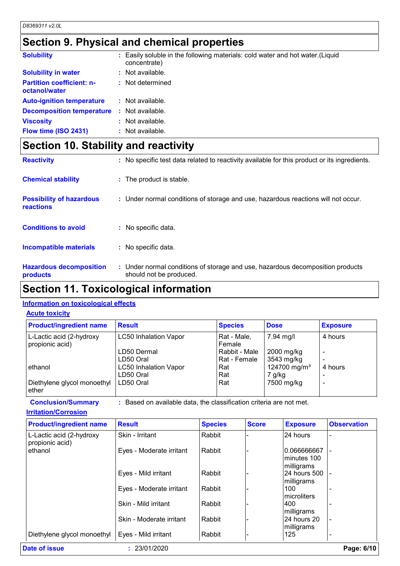### **Section 9. Physical and chemical properties**

| <b>Solubility</b>                                 | : Easily soluble in the following materials: cold water and hot water. (Liquid<br>concentrate) |
|---------------------------------------------------|------------------------------------------------------------------------------------------------|
| <b>Solubility in water</b>                        | $:$ Not available.                                                                             |
| <b>Partition coefficient: n-</b><br>octanol/water | : Not determined                                                                               |
| <b>Auto-ignition temperature</b>                  | $:$ Not available.                                                                             |
| <b>Decomposition temperature :</b> Not available. |                                                                                                |
| <b>Viscosity</b>                                  | : Not available.                                                                               |
| Flow time (ISO 2431)                              | : Not available.                                                                               |

## **Section 10. Stability and reactivity**

| <b>Reactivity</b>                            | : No specific test data related to reactivity available for this product or its ingredients.              |
|----------------------------------------------|-----------------------------------------------------------------------------------------------------------|
| <b>Chemical stability</b>                    | : The product is stable.                                                                                  |
| <b>Possibility of hazardous</b><br>reactions | : Under normal conditions of storage and use, hazardous reactions will not occur.                         |
| <b>Conditions to avoid</b>                   | : No specific data.                                                                                       |
| <b>Incompatible materials</b>                | : No specific data.                                                                                       |
| <b>Hazardous decomposition</b><br>products   | : Under normal conditions of storage and use, hazardous decomposition products<br>should not be produced. |

### **Section 11. Toxicological information**

#### **Information on toxicological effects**

#### **Acute toxicity**

| <b>Product/ingredient name</b>              | <b>Result</b>                | <b>Species</b>        | <b>Dose</b>              | <b>Exposure</b> |
|---------------------------------------------|------------------------------|-----------------------|--------------------------|-----------------|
| L-Lactic acid (2-hydroxy<br>propionic acid) | <b>LC50 Inhalation Vapor</b> | Rat - Male,<br>Female | 7.94 mg/l                | 4 hours         |
|                                             | LD50 Dermal                  | Rabbit - Male         | 2000 mg/kg               |                 |
|                                             | LD50 Oral                    | Rat - Female          | 3543 mg/kg               |                 |
| ethanol                                     | <b>LC50 Inhalation Vapor</b> | Rat                   | 124700 mg/m <sup>3</sup> | 4 hours         |
|                                             | LD50 Oral                    | Rat                   | 7 g/kg                   |                 |
| Diethylene glycol monoethyl<br>ether        | LD50 Oral                    | Rat                   | 7500 mg/kg               |                 |

**Conclusion/Summary :** Based on available data, the classification criteria are not met.

**Irritation/Corrosion**

| <b>Product/ingredient name</b>              | <b>Result</b>            | <b>Species</b> | <b>Score</b> | <b>Exposure</b>     | <b>Observation</b> |
|---------------------------------------------|--------------------------|----------------|--------------|---------------------|--------------------|
| L-Lactic acid (2-hydroxy<br>propionic acid) | Skin - Irritant          | Rabbit         |              | 24 hours            |                    |
| ethanol                                     | Eyes - Moderate irritant | Rabbit         |              | 0.066666667         |                    |
|                                             |                          |                |              | Iminutes 100        |                    |
|                                             |                          |                |              | milligrams          |                    |
|                                             | Eyes - Mild irritant     | Rabbit         |              | 24 hours 500        |                    |
|                                             |                          |                |              | milligrams          |                    |
|                                             | Eyes - Moderate irritant | Rabbit         |              | 100                 |                    |
|                                             |                          |                |              | <b>Imicroliters</b> |                    |
|                                             | Skin - Mild irritant     | Rabbit         |              | 1400                |                    |
|                                             |                          |                |              | milligrams          |                    |
|                                             | Skin - Moderate irritant | Rabbit         |              | 24 hours 20         |                    |
|                                             |                          |                |              | milligrams          |                    |
| Diethylene glycol monoethyl                 | Eyes - Mild irritant     | Rabbit         |              | 125                 |                    |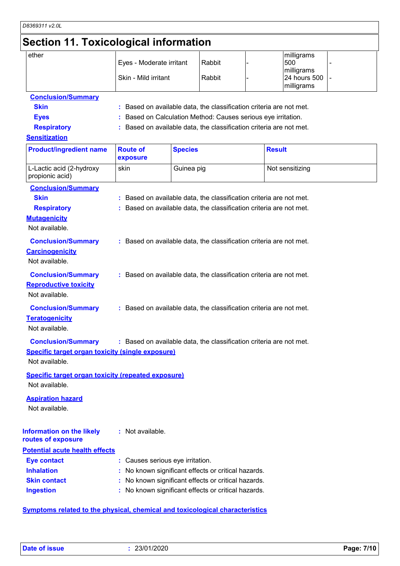## **Section 11. Toxicological information**

| ether             | Eyes - Moderate irritant | Rabbit | milligrams<br>500                           |  |
|-------------------|--------------------------|--------|---------------------------------------------|--|
|                   | Skin - Mild irritant     | Rabbit | milligrams<br>24 hours 500  -<br>milligrams |  |
| Conclusion Cummon |                          |        |                                             |  |

#### **Conclusion/Summary**

- **Skin :** Based on available data, the classification criteria are not met.
- **Eyes :** Based on Calculation Method: Causes serious eye irritation.
- **Respiratory :** Based on available data, the classification criteria are not met.

#### **Sensitization**

| <b>Product/ingredient name</b>                            | <b>Route of</b><br>exposure      | <b>Species</b>                                                      | <b>Result</b>   |
|-----------------------------------------------------------|----------------------------------|---------------------------------------------------------------------|-----------------|
| L-Lactic acid (2-hydroxy<br>propionic acid)               | skin                             | Guinea pig                                                          | Not sensitizing |
| <b>Conclusion/Summary</b>                                 |                                  |                                                                     |                 |
| <b>Skin</b>                                               |                                  | : Based on available data, the classification criteria are not met. |                 |
| <b>Respiratory</b>                                        |                                  | : Based on available data, the classification criteria are not met. |                 |
| <b>Mutagenicity</b>                                       |                                  |                                                                     |                 |
| Not available.                                            |                                  |                                                                     |                 |
| <b>Conclusion/Summary</b>                                 |                                  | : Based on available data, the classification criteria are not met. |                 |
| <b>Carcinogenicity</b>                                    |                                  |                                                                     |                 |
| Not available.                                            |                                  |                                                                     |                 |
| <b>Conclusion/Summary</b>                                 |                                  | : Based on available data, the classification criteria are not met. |                 |
| <b>Reproductive toxicity</b>                              |                                  |                                                                     |                 |
| Not available.                                            |                                  |                                                                     |                 |
| <b>Conclusion/Summary</b>                                 |                                  | : Based on available data, the classification criteria are not met. |                 |
| <b>Teratogenicity</b>                                     |                                  |                                                                     |                 |
| Not available.                                            |                                  |                                                                     |                 |
| <b>Conclusion/Summary</b>                                 |                                  | : Based on available data, the classification criteria are not met. |                 |
| <b>Specific target organ toxicity (single exposure)</b>   |                                  |                                                                     |                 |
| Not available.                                            |                                  |                                                                     |                 |
| <b>Specific target organ toxicity (repeated exposure)</b> |                                  |                                                                     |                 |
| Not available.                                            |                                  |                                                                     |                 |
| <b>Aspiration hazard</b>                                  |                                  |                                                                     |                 |
| Not available.                                            |                                  |                                                                     |                 |
|                                                           |                                  |                                                                     |                 |
| <b>Information on the likely</b>                          | : Not available.                 |                                                                     |                 |
| routes of exposure                                        |                                  |                                                                     |                 |
| <b>Potential acute health effects</b>                     |                                  |                                                                     |                 |
| <b>Eye contact</b>                                        | : Causes serious eye irritation. |                                                                     |                 |
| <b>Inhalation</b>                                         |                                  | No known significant effects or critical hazards.                   |                 |
| <b>Skin contact</b>                                       |                                  | No known significant effects or critical hazards.                   |                 |
| <b>Ingestion</b>                                          |                                  | No known significant effects or critical hazards.                   |                 |
|                                                           |                                  |                                                                     |                 |

#### **Symptoms related to the physical, chemical and toxicological characteristics**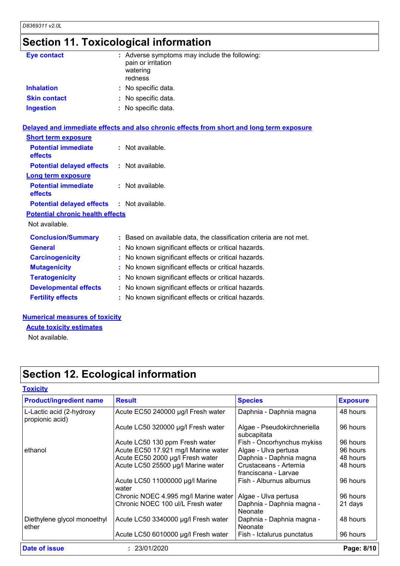# **Section 11. Toxicological information**

| Eye contact                             | : Adverse symptoms may include the following:<br>pain or irritation<br>watering<br>redness |
|-----------------------------------------|--------------------------------------------------------------------------------------------|
| <b>Inhalation</b>                       | : No specific data.                                                                        |
| <b>Skin contact</b>                     | : No specific data.                                                                        |
| <b>Ingestion</b>                        | : No specific data.                                                                        |
|                                         | Delayed and immediate effects and also chronic effects from short and long term exposure   |
| <b>Short term exposure</b>              |                                                                                            |
| <b>Potential immediate</b><br>effects   | : Not available.                                                                           |
| <b>Potential delayed effects</b>        | : Not available.                                                                           |
| <b>Long term exposure</b>               |                                                                                            |
| <b>Potential immediate</b><br>effects   | : Not available.                                                                           |
| <b>Potential delayed effects</b>        | $:$ Not available.                                                                         |
| <b>Potential chronic health effects</b> |                                                                                            |
| Not available.                          |                                                                                            |
| <b>Conclusion/Summary</b>               | : Based on available data, the classification criteria are not met.                        |
| <b>General</b>                          | : No known significant effects or critical hazards.                                        |
| <b>Carcinogenicity</b>                  | : No known significant effects or critical hazards.                                        |
| <b>Mutagenicity</b>                     | : No known significant effects or critical hazards.                                        |
| <b>Teratogenicity</b>                   | : No known significant effects or critical hazards.                                        |
| <b>Developmental effects</b>            | : No known significant effects or critical hazards.                                        |
| <b>Fertility effects</b>                | : No known significant effects or critical hazards.                                        |
|                                         |                                                                                            |

#### **Numerical measures of toxicity**

**Acute toxicity estimates**

Not available.

# **Section 12. Ecological information**

| <b>Product/ingredient name</b>              | <b>Result</b>                            | <b>Species</b>                                | <b>Exposure</b> |
|---------------------------------------------|------------------------------------------|-----------------------------------------------|-----------------|
| L-Lactic acid (2-hydroxy<br>propionic acid) | Acute EC50 240000 µg/l Fresh water       | Daphnia - Daphnia magna                       | 48 hours        |
|                                             | Acute LC50 320000 µg/l Fresh water       | Algae - Pseudokirchneriella<br>subcapitata    | 96 hours        |
|                                             | Acute LC50 130 ppm Fresh water           | Fish - Oncorhynchus mykiss                    | 96 hours        |
| ethanol                                     | Acute EC50 17.921 mg/l Marine water      | Algae - Ulva pertusa                          | 96 hours        |
|                                             | Acute EC50 2000 µg/l Fresh water         | Daphnia - Daphnia magna                       | 48 hours        |
|                                             | Acute LC50 25500 µg/l Marine water       | Crustaceans - Artemia<br>franciscana - Larvae | 48 hours        |
|                                             | Acute LC50 11000000 µg/l Marine<br>water | Fish - Alburnus alburnus                      | 96 hours        |
|                                             | Chronic NOEC 4.995 mg/l Marine water     | Algae - Ulva pertusa                          | 96 hours        |
|                                             | Chronic NOEC 100 ul/L Fresh water        | Daphnia - Daphnia magna -<br>Neonate          | 21 days         |
| Diethylene glycol monoethyl<br>ether        | Acute LC50 3340000 µg/l Fresh water      | Daphnia - Daphnia magna -<br>Neonate          | 48 hours        |
|                                             | Acute LC50 6010000 µg/l Fresh water      | Fish - Ictalurus punctatus                    | 96 hours        |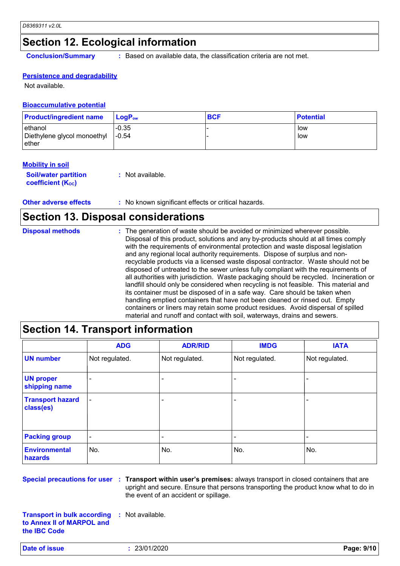### **Section 12. Ecological information**

**Conclusion/Summary :** Based on available data, the classification criteria are not met.

#### **Persistence and degradability**

Not available.

#### **Bioaccumulative potential**

| <b>Product/ingredient name</b>                   | $\mathsf{LogP}_\mathsf{ow}$ | <b>BCF</b> | <b>Potential</b> |
|--------------------------------------------------|-----------------------------|------------|------------------|
| ethanol<br>Diethylene glycol monoethyl<br>⊪ether | $-0.35$<br>$1 - 0.54$       |            | low<br>low       |

#### **Mobility in soil**

| <b>Soil/water partition</b> | : Not available. |
|-----------------------------|------------------|
| <b>coefficient (Koc)</b>    |                  |

**Other adverse effects** : No known significant effects or critical hazards.

### **Section 13. Disposal considerations**

| <b>Disposal methods</b> | : The generation of waste should be avoided or minimized wherever possible.<br>Disposal of this product, solutions and any by-products should at all times comply<br>with the requirements of environmental protection and waste disposal legislation<br>and any regional local authority requirements. Dispose of surplus and non-<br>recyclable products via a licensed waste disposal contractor. Waste should not be<br>disposed of untreated to the sewer unless fully compliant with the requirements of<br>all authorities with jurisdiction. Waste packaging should be recycled. Incineration or<br>landfill should only be considered when recycling is not feasible. This material and<br>its container must be disposed of in a safe way. Care should be taken when<br>handling emptied containers that have not been cleaned or rinsed out. Empty |
|-------------------------|---------------------------------------------------------------------------------------------------------------------------------------------------------------------------------------------------------------------------------------------------------------------------------------------------------------------------------------------------------------------------------------------------------------------------------------------------------------------------------------------------------------------------------------------------------------------------------------------------------------------------------------------------------------------------------------------------------------------------------------------------------------------------------------------------------------------------------------------------------------|
|                         | containers or liners may retain some product residues. Avoid dispersal of spilled<br>material and runoff and contact with soil, waterways, drains and sewers.                                                                                                                                                                                                                                                                                                                                                                                                                                                                                                                                                                                                                                                                                                 |

### **Section 14. Transport information**

|                                      | <b>ADG</b>               | <b>ADR/RID</b> | <b>IMDG</b>    | <b>IATA</b>    |
|--------------------------------------|--------------------------|----------------|----------------|----------------|
| <b>UN number</b>                     | Not regulated.           | Not regulated. | Not regulated. | Not regulated. |
| <b>UN proper</b><br>shipping name    | $\overline{\phantom{0}}$ |                |                |                |
| <b>Transport hazard</b><br>class(es) |                          |                | ٠              |                |
| <b>Packing group</b>                 | $\overline{\phantom{a}}$ |                | ۰              |                |
| <b>Environmental</b><br>hazards      | No.                      | No.            | No.            | No.            |

**Special precautions for user Transport within user's premises:** always transport in closed containers that are **:** upright and secure. Ensure that persons transporting the product know what to do in the event of an accident or spillage.

**Transport in bulk according to Annex II of MARPOL and the IBC Code :** Not available.

**Date of issue :** 23/01/2020 **Page: 9/10**